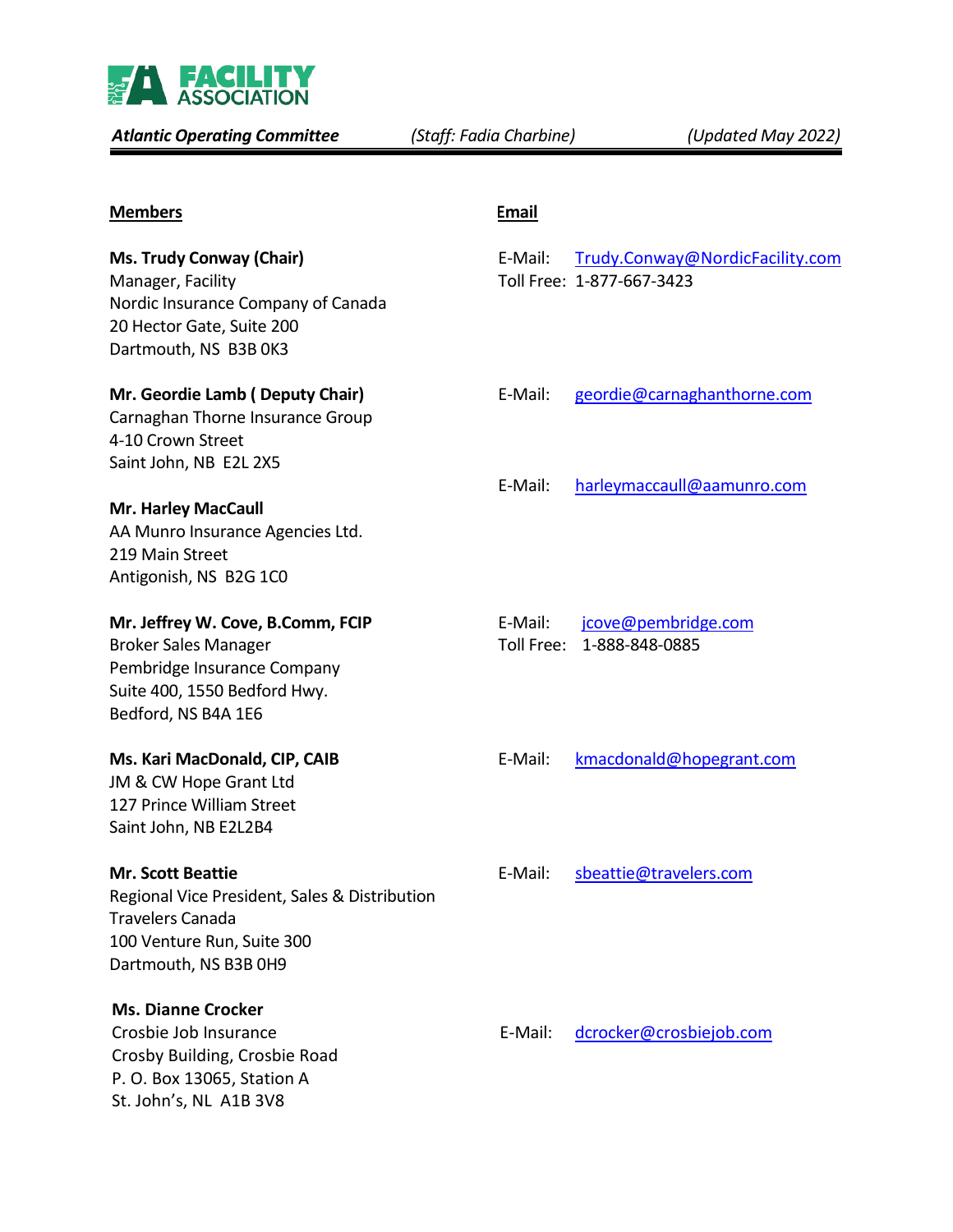

*Atlantic Operating Committee**(Staff: Fadia Charbine) (Updated May 2022)*

| <b>Members</b>                                                                                                                                              | <b>Email</b>          |                                                              |
|-------------------------------------------------------------------------------------------------------------------------------------------------------------|-----------------------|--------------------------------------------------------------|
| <b>Ms. Trudy Conway (Chair)</b><br>Manager, Facility<br>Nordic Insurance Company of Canada<br>20 Hector Gate, Suite 200<br>Dartmouth, NS B3B 0K3            | E-Mail:               | Trudy.Conway@NordicFacility.com<br>Toll Free: 1-877-667-3423 |
| Mr. Geordie Lamb (Deputy Chair)<br>Carnaghan Thorne Insurance Group<br>4-10 Crown Street<br>Saint John, NB E2L 2X5                                          | E-Mail:<br>E-Mail:    | geordie@carnaghanthorne.com<br>harleymaccaull@aamunro.com    |
| <b>Mr. Harley MacCaull</b><br>AA Munro Insurance Agencies Ltd.<br>219 Main Street<br>Antigonish, NS B2G 1C0                                                 |                       |                                                              |
| Mr. Jeffrey W. Cove, B.Comm, FCIP<br><b>Broker Sales Manager</b><br>Pembridge Insurance Company<br>Suite 400, 1550 Bedford Hwy.<br>Bedford, NS B4A 1E6      | E-Mail:<br>Toll Free: | jcove@pembridge.com<br>1-888-848-0885                        |
| Ms. Kari MacDonald, CIP, CAIB<br>JM & CW Hope Grant Ltd<br>127 Prince William Street<br>Saint John, NB E2L2B4                                               | E-Mail:               | kmacdonald@hopegrant.com                                     |
| <b>Mr. Scott Beattie</b><br>Regional Vice President, Sales & Distribution<br><b>Travelers Canada</b><br>100 Venture Run, Suite 300<br>Dartmouth, NS B3B 0H9 | E-Mail:               | sbeattie@travelers.com                                       |
| <b>Ms. Dianne Crocker</b><br>Crosbie Job Insurance<br>Crosby Building, Crosbie Road<br>P. O. Box 13065, Station A<br>St. John's, NL A1B 3V8                 | E-Mail:               | dcrocker@crosbiejob.com                                      |